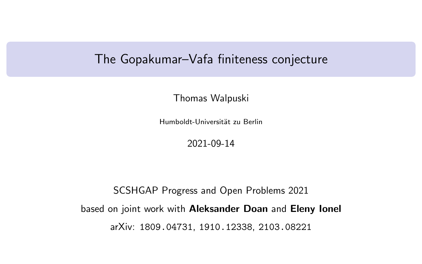# <span id="page-0-0"></span>The Gopakumar–Vafa finiteness conjecture

Thomas Walpuski

Humboldt-Universität zu Berlin

2021-09-14

SCSHGAP Progress and Open Problems 2021 based on joint work with Aleksander Doan and Eleny Ionel arXiv: 1809.04731, 1910.12338, 2103.08221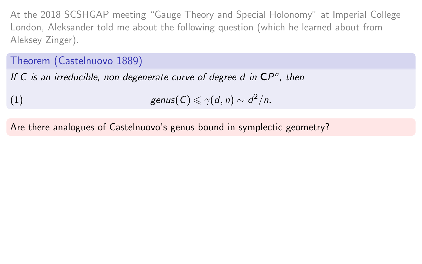At the 2018 SCSHGAP meeting "Gauge Theory and Special Holonomy" at Imperial College London, Aleksander told me about the following question (which he learned about from Aleksey Zinger).

Theorem (Castelnuovo [1889\)](#page-0-0)

If C is an irreducible, non-degenerate curve of degree  $d$  in  $\mathbb{CP}^n$ , then

(1) 
$$
\text{genus}(C) \leq \gamma(d,n) \sim d^2/n.
$$

Are there analogues of Castelnuovo's genus bound in symplectic geometry?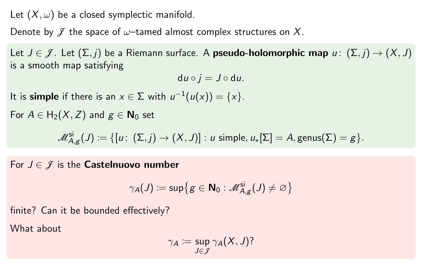Let  $(X, \omega)$  be a closed symplectic manifold.

Denote by  $\mathcal{J}$  the space of  $\omega$ -tamed almost complex structures on X.

Let  $J \in \mathcal{J}$ . Let  $(\Sigma, j)$  be a Riemann surface. A **pseudo-holomorphic map**  $u : (\Sigma, j) \rightarrow (X, J)$ is a smooth map satisfying

 $du \circ i = J \circ du$ .

It is simple if there is an  $x \in \Sigma$  with  $u^{-1}(u(x)) = \{x\}.$ 

For  $A \in H_2(X, Z)$  and  $g \in N_0$  set

 $\mathscr{M}_{A,g}^{\mathsf{si}}(J) \coloneqq \{[u\colon\,(\Sigma,j) \to (X,J)] : \text{$u$ simple, $u_*[\Sigma] = A$, genus}(\Sigma) = g\}.$ 

For  $J \in \mathcal{J}$  is the **Castelnuovo number** 

$$
\gamma_{\color{black} A}(J) \coloneqq \mathsf{sup}\big\{g \in \mathsf{N}_0: \mathscr{M}_{A,g}^{\mathsf{si}}(J) \neq \varnothing\big\}
$$

finite? Can it be bounded effectively?

What about

$$
\gamma_A := \sup_{J \in \mathcal{J}} \gamma_A(X, J)?
$$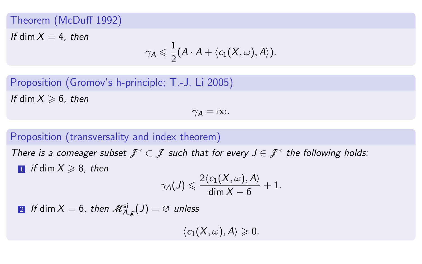#### Theorem (McDuff 1992)

If dim  $X = 4$ , then

$$
\gamma_A\leqslant \frac{1}{2}(A\cdot A+\langle c_1(X,\omega),A\rangle).
$$

Proposition (Gromov's h-principle; T.-J. Li [2005\)](#page-0-0) If dim  $X \ge 6$ , then

 $\gamma_A = \infty$ .

## Proposition (transversality and index theorem)

There is a comeager subset  $\mathcal{J}^* \subset \mathcal{J}$  such that for every  $J \in \mathcal{J}^*$  the following holds:  $\blacksquare$  if dim  $X \ge 8$ , then

$$
\gamma_{\color{black} A} (J) \leqslant \frac{2 \langle c_1 (X, \omega), A \rangle}{\dim X - 6} + 1.
$$

 $2$  If  $\dim X=6$ , then  $\mathscr{M}_{A,g}^{\mathsf{si}}(J)=\varnothing$  unless

 $\langle c_1(X, \omega), A \rangle \geqslant 0.$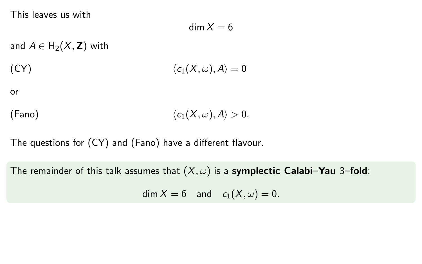This leaves us with

<span id="page-4-0"></span>
$$
\dim X=6
$$

and  $A \in H_2(X, \mathbf{Z})$  with (CY)  $\langle c_1(X, \omega), A \rangle = 0$ 

or

(Fano) 
$$
\langle c_1(X,\omega),A\rangle>0.
$$

The questions for [\(CY\)](#page-4-0) and [\(Fano\)](#page-4-1) have a different flavour.

The remainder of this talk assumes that  $(X, \omega)$  is a symplectic Calabi–Yau 3–fold:

<span id="page-4-1"></span>dim  $X = 6$  and  $c_1(X, \omega) = 0$ .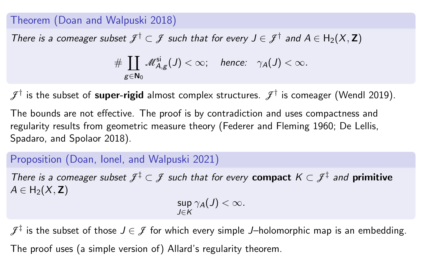#### Theorem (Doan and Walpuski 2018)

There is a comeager subset  $\mathcal{J}^{\dagger} \subset \mathcal{J}$  such that for every  $J \in \mathcal{J}^{\dagger}$  and  $A \in H_2(X, \mathbf{Z})$ 

$$
\#\coprod_{g\in\mathbf{N}_0}\mathscr{M}_{A,g}^{\mathsf{si}}(J)<\infty;\quad\text{hence:}\quad\gamma_A(J)<\infty.
$$

 $\mathcal{F}^{\dagger}$  is the subset of  $\mathsf{super\text{-}rigid}$  almost complex structures.  $\mathcal{F}^{\dagger}$  is comeager (Wendl [2019\)](#page-0-0).

The bounds are not effective. The proof is by contradiction and uses compactness and regularity results from geometric measure theory (Federer and Fleming [1960;](#page-0-0) De Lellis, Spadaro, and Spolaor [2018\)](#page-0-0).

#### Proposition (Doan, Ionel, and Walpuski [2021\)](#page-0-0)

There is a comeager subset  $\mathcal{J}^{\ddagger} \subset \mathcal{J}$  such that for every compact  $K \subset \mathcal{J}^{\ddagger}$  and primitive  $A \in H_2(X, \mathbb{Z})$ 

$$
\sup_{J\in K}\gamma_A(J)<\infty.
$$

 $\mathcal{F}^\ddagger$  is the subset of those  $J\in\mathcal{J}$  for which every simple  $J$ –holomorphic map is an embedding. The proof uses (a simple version of) Allard's regularity theorem.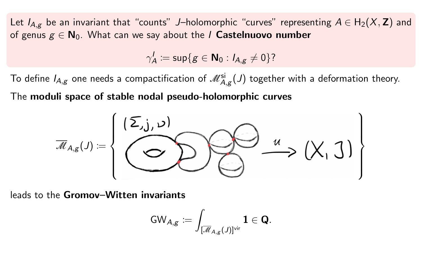Let  $I_{A,g}$  be an invariant that "counts" J–holomorphic "curves" representing  $A \in H_2(X, Z)$  and of genus  $g \in N_0$ . What can we say about the *I* Castelnuovo number

$$
\gamma'_A:=\sup\{g\in\mathbf{N}_0: I_{A,g}\neq 0\}
$$
?

To define  $I_{A,g}$  one needs a compactification of  $\mathscr{M}_{A,g}^{\rm si}(J)$  together with a deformation theory.

The moduli space of stable nodal pseudo-holomorphic curves



leads to the Gromov–Witten invariants

$$
\textnormal{GW}_{A,g} \coloneqq \int_{[\overline{\mathscr{M}}_{A,g}(J)]^{\textnormal{vir}}}\mathbf{1} \in \mathbf{Q}.
$$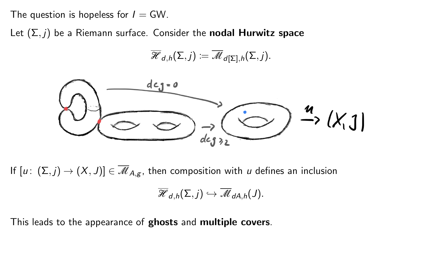The question is hopeless for  $I = GW$ .

Let  $(\Sigma, j)$  be a Riemann surface. Consider the **nodal Hurwitz space** 

$$
\overline{\mathscr{H}}_{d,h}(\Sigma,j) \coloneqq \overline{\mathscr{M}}_{d[\Sigma],h}(\Sigma,j).
$$



If  $[u: (\Sigma, j) \to (X, J)] \in \overline{\mathcal{M}}_{A,g}$ , then composition with u defines an inclusion  $\overline{\mathscr{H}}_{d,h}(\Sigma, j) \hookrightarrow \overline{\mathscr{M}}_{dA,h}(J).$ 

This leads to the appearance of **ghosts** and **multiple covers**.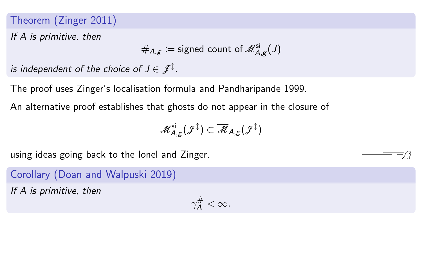## Theorem (Zinger [2011\)](#page-0-0)

If A is primitive, then

$$
\#_{A,g} \coloneqq \text{signed count of } \mathscr{M}_{A,g}^{\text{si}}(J)
$$

is independent of the choice of  $J\in\mathscr{J}^{\ddagger}.$ 

The proof uses Zinger's localisation formula and Pandharipande [1999.](#page-0-0)

An alternative proof establishes that ghosts do not appear in the closure of

$$
\mathscr{M}_{A,g}^{\mathsf{si}}(\mathscr{F}^\ddagger) \subset \overline{\mathscr{M}}_{A,g}(\mathscr{F}^\ddagger)
$$

using ideas going back to the Ionel and Zinger.

Corollary (Doan and Walpuski [2019\)](#page-0-0)

If A is primitive, then

$$
\gamma_A^{\#}<\infty.
$$

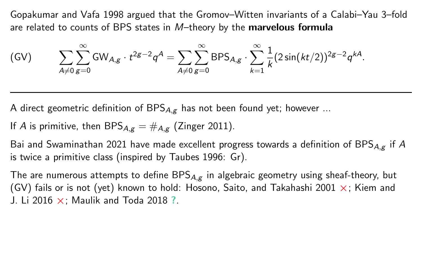Gopakumar and Vafa [1998](#page-0-0) argued that the Gromov–Witten invariants of a Calabi–Yau 3–fold are related to counts of BPS states in M–theory by the marvelous formula

<span id="page-9-0"></span>
$$
(GV) \qquad \sum_{A \neq 0} \sum_{g=0}^{\infty} GW_{A,g} \cdot t^{2g-2} q^A = \sum_{A \neq 0} \sum_{g=0}^{\infty} BPS_{A,g} \cdot \sum_{k=1}^{\infty} \frac{1}{k} (2 \sin(kt/2))^{2g-2} q^{kA}.
$$

A direct geometric definition of  $BPS_{A,g}$  has not been found yet; however ...

If A is primitive, then 
$$
BPS_{A,g} = \#_{A,g}
$$
 (Zinger 2011).

Bai and Swaminathan [2021](#page-0-0) have made excellent progress towards a definition of BPS $_{A,g}$  if A is twice a primitive class (inspired by Taubes [1996:](#page-0-0) Gr).

The are numerous attempts to define  $BPS_{A,g}$  in algebraic geometry using sheaf-theory, but [\(GV\)](#page-9-0) fails or is not (yet) known to hold: Hosono, Saito, and Takahashi [2001](#page-0-0)  $\times$ ; Kiem and J. Li [2016](#page-0-0)  $\times$ ; Maulik and Toda [2018](#page-0-0) ?.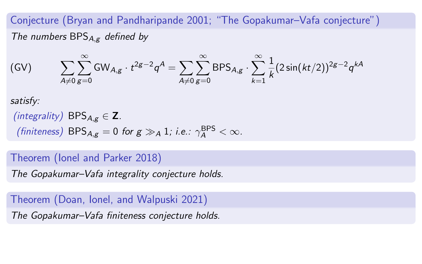Conjecture (Bryan and Pandharipande [2001;](#page-0-0) "The Gopakumar–Vafa conjecture") The numbers  $BPS_{A,g}$  defined by

(GV) 
$$
\sum_{A \neq 0} \sum_{g=0}^{\infty} GW_{A,g} \cdot t^{2g-2} q^A = \sum_{A \neq 0} \sum_{g=0}^{\infty} BPS_{A,g} \cdot \sum_{k=1}^{\infty} \frac{1}{k} (2 \sin(kt/2))^{2g-2} q^{kA}
$$

satisfy:

```
(integrality) BPS_{A,\sigma} \in \mathbb{Z}.
(finiteness) BPS<sub>A,g</sub> = 0 for g \gg_A 1; i.e.: \gamma_A^{BPS} < \infty.
```
#### Theorem (Ionel and Parker [2018\)](#page-0-0)

The Gopakumar–Vafa integrality conjecture holds.

Theorem (Doan, Ionel, and Walpuski [2021\)](#page-0-0) The Gopakumar–Vafa finiteness conjecture holds.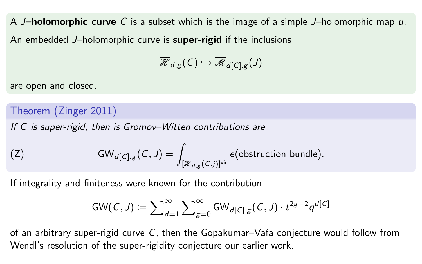A **J-holomorphic curve** C is a subset which is the image of a simple J-holomorphic map  $u$ . An embedded J–holomorphic curve is **super-rigid** if the inclusions

$$
\overline{\mathscr{H}}_{d, g}(\mathcal{C}) \hookrightarrow \overline{\mathscr{M}}_{d[\mathcal{C}], g} (J)
$$

are open and closed.

Theorem (Zinger [2011\)](#page-0-0)

If C is super-rigid, then is Gromov–Witten contributions are

(Z) 
$$
GW_{d[C],g}(C,J) = \int_{[\overline{\mathcal{H}}_{d,g}(C,j)]^{vir}} e(\text{obstruction bundle}).
$$

If integrality and finiteness were known for the contribution

$$
\mathsf{GW}(\mathcal{C},J) \coloneqq \sum\nolimits_{d=1}^\infty \sum\nolimits_{g=0}^\infty \mathsf{GW}_{d[\mathcal{C}],g}(\mathcal{C},J) \cdot t^{2g-2} q^{d[\mathcal{C}]}
$$

of an arbitrary super-rigid curve C, then the Gopakumar–Vafa conjecture would follow from Wendl's resolution of the super-rigidity conjecture our earlier work.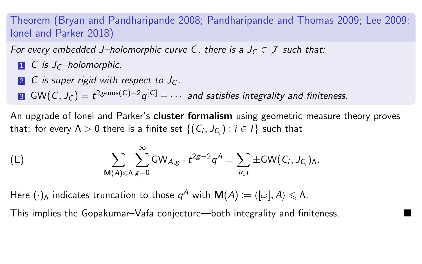Theorem (Bryan and Pandharipande [2008;](#page-0-0) Pandharipande and Thomas [2009;](#page-0-0) Lee [2009;](#page-0-0) Ionel and Parker [2018\)](#page-0-0)

For every embedded J–holomorphic curve C, there is a  $J_c \in \mathcal{I}$  such that:

- $\blacksquare$  C is J<sub>C</sub>-holomorphic.
- 2 C is super-rigid with respect to  $J_C$ .

3 GW(C,  $J_C) = t^{2$ genus(C)−2 $q^{[C]} + \cdots$  and satisfies integrality and finiteness.

An upgrade of lonel and Parker's **cluster formalism** using geometric measure theory proves that: for every  $\Lambda>0$  there is a finite set  $\{(C_i, J_{C_i}): i\in I\}$  such that

<span id="page-12-0"></span>(E) 
$$
\sum_{\mathbf{M}(A)\leq\Lambda} \sum_{g=0}^{\infty} \mathsf{GW}_{A,g} \cdot t^{2g-2} q^A = \sum_{i\in I} \pm \mathsf{GW}(C_i, J_{C_i})_{\Lambda}.
$$

Here  $(\cdot)_\Lambda$  indicates truncation to those  $\mathsf{\,q}^A$  with  $\mathsf{M}(A)\coloneqq\langle[\omega],A\rangle\leqslant\Lambda.$ 

This implies the Gopakumar–Vafa conjecture—both integrality and finiteness.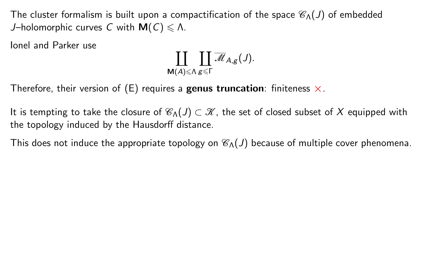The cluster formalism is built upon a compactification of the space  $\mathcal{C}_{\Lambda}(J)$  of embedded J–holomorphic curves C with  $M(C) \le \Lambda$ .

Ionel and Parker use

$$
\coprod_{\mathsf{M}(A)\leqslant \Lambda} \coprod_{\mathcal{B}\leqslant \Gamma} \overline{\mathscr{M}}_{A,\mathcal{B}}(\mathcal{J}).
$$

Therefore, their version of [\(E\)](#page-12-0) requires a genus truncation: finiteness  $\times$ .

It is tempting to take the closure of  $\mathcal{C}_{\Lambda}(J) \subset \mathcal{K}$ , the set of closed subset of X equipped with the topology induced by the Hausdorff distance.

This does not induce the appropriate topology on  $\mathcal{C}_{\Lambda}(J)$  because of multiple cover phenomena.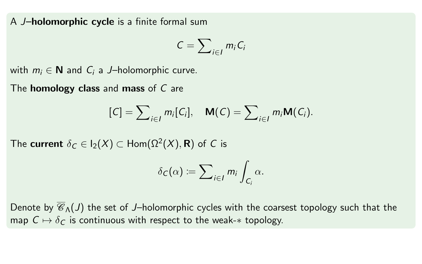A J-holomorphic cycle is a finite formal sum

$$
C=\sum\nolimits_{i\in I}m_iC_i
$$

with  $m_i \in \mathbb{N}$  and  $C_i$  a J–holomorphic curve.

The **homology class** and **mass** of C are

$$
[C] = \sum_{i \in I} m_i [C_i], \quad \mathsf{M}(C) = \sum_{i \in I} m_i \mathsf{M}(C_i).
$$

The  $\mathsf{current}\,\,\delta_\mathsf{C}\in\mathsf{I}_2(X)\subset\mathsf{Hom}(\Omega^2(X),\mathsf{R})$  of  $\mathsf C$  is

$$
\delta_C(\alpha) := \sum_{i \in I} m_i \int_{C_i} \alpha.
$$

Denote by  $\overline{\mathscr{C}}_{\Lambda}(J)$  the set of J–holomorphic cycles with the coarsest topology such that the map  $C \mapsto \delta_C$  is continuous with respect to the weak- $*$  topology.